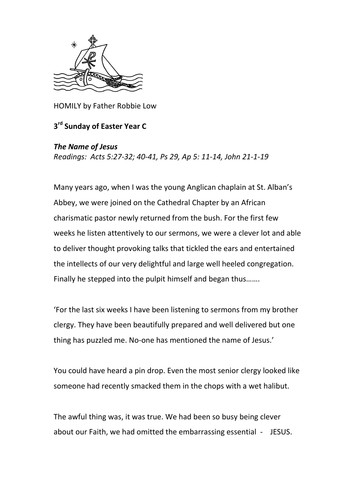

HOMILY by Father Robbie Low

## **3 rd Sunday of Easter Year C**

## *The Name of Jesus*

*Readings: Acts 5:27-32; 40-41, Ps 29, Ap 5: 11-14, John 21-1-19*

Many years ago, when I was the young Anglican chaplain at St. Alban's Abbey, we were joined on the Cathedral Chapter by an African charismatic pastor newly returned from the bush. For the first few weeks he listen attentively to our sermons, we were a clever lot and able to deliver thought provoking talks that tickled the ears and entertained the intellects of our very delightful and large well heeled congregation. Finally he stepped into the pulpit himself and began thus…….

'For the last six weeks I have been listening to sermons from my brother clergy. They have been beautifully prepared and well delivered but one thing has puzzled me. No-one has mentioned the name of Jesus.'

You could have heard a pin drop. Even the most senior clergy looked like someone had recently smacked them in the chops with a wet halibut.

The awful thing was, it was true. We had been so busy being clever about our Faith, we had omitted the embarrassing essential - JESUS.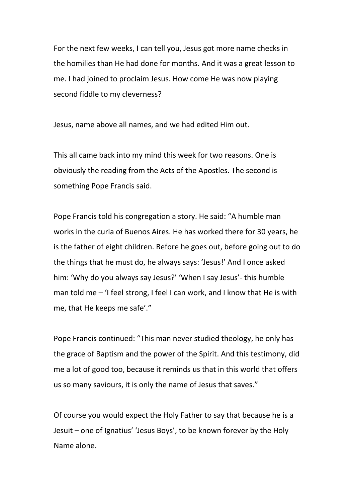For the next few weeks, I can tell you, Jesus got more name checks in the homilies than He had done for months. And it was a great lesson to me. I had joined to proclaim Jesus. How come He was now playing second fiddle to my cleverness?

Jesus, name above all names, and we had edited Him out.

This all came back into my mind this week for two reasons. One is obviously the reading from the Acts of the Apostles. The second is something Pope Francis said.

Pope Francis told his congregation a story. He said: "A humble man works in the curia of Buenos Aires. He has worked there for 30 years, he is the father of eight children. Before he goes out, before going out to do the things that he must do, he always says: 'Jesus!' And I once asked him: 'Why do you always say Jesus?' 'When I say Jesus'- this humble man told me – 'I feel strong, I feel I can work, and I know that He is with me, that He keeps me safe'."

Pope Francis continued: "This man never studied theology, he only has the grace of Baptism and the power of the Spirit. And this testimony, did me a lot of good too, because it reminds us that in this world that offers us so many saviours, it is only the name of Jesus that saves."

Of course you would expect the Holy Father to say that because he is a Jesuit – one of Ignatius' 'Jesus Boys', to be known forever by the Holy Name alone.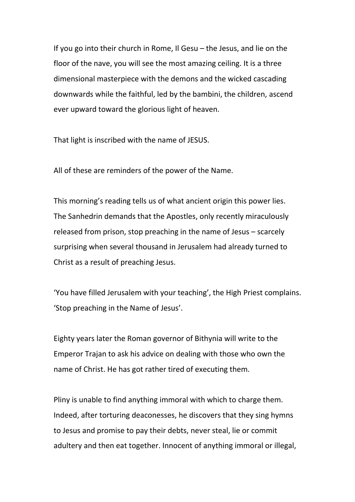If you go into their church in Rome, Il Gesu – the Jesus, and lie on the floor of the nave, you will see the most amazing ceiling. It is a three dimensional masterpiece with the demons and the wicked cascading downwards while the faithful, led by the bambini, the children, ascend ever upward toward the glorious light of heaven.

That light is inscribed with the name of JESUS.

All of these are reminders of the power of the Name.

This morning's reading tells us of what ancient origin this power lies. The Sanhedrin demands that the Apostles, only recently miraculously released from prison, stop preaching in the name of Jesus – scarcely surprising when several thousand in Jerusalem had already turned to Christ as a result of preaching Jesus.

'You have filled Jerusalem with your teaching', the High Priest complains. 'Stop preaching in the Name of Jesus'.

Eighty years later the Roman governor of Bithynia will write to the Emperor Trajan to ask his advice on dealing with those who own the name of Christ. He has got rather tired of executing them.

Pliny is unable to find anything immoral with which to charge them. Indeed, after torturing deaconesses, he discovers that they sing hymns to Jesus and promise to pay their debts, never steal, lie or commit adultery and then eat together. Innocent of anything immoral or illegal,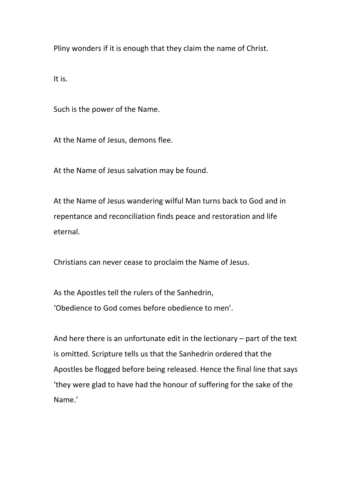Pliny wonders if it is enough that they claim the name of Christ.

It is.

Such is the power of the Name.

At the Name of Jesus, demons flee.

At the Name of Jesus salvation may be found.

At the Name of Jesus wandering wilful Man turns back to God and in repentance and reconciliation finds peace and restoration and life eternal.

Christians can never cease to proclaim the Name of Jesus.

As the Apostles tell the rulers of the Sanhedrin, 'Obedience to God comes before obedience to men'.

And here there is an unfortunate edit in the lectionary – part of the text is omitted. Scripture tells us that the Sanhedrin ordered that the Apostles be flogged before being released. Hence the final line that says 'they were glad to have had the honour of suffering for the sake of the Name.'